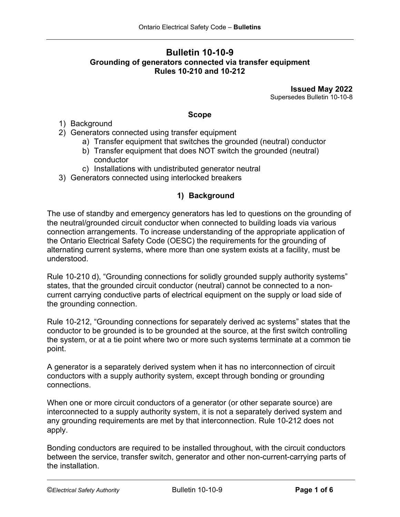# **Bulletin 10-10-9 Grounding of generators connected via transfer equipment Rules 10-210 and 10-212**

**Issued May 2022** Supersedes Bulletin 10-10-8

### **Scope**

- 1) Background
- 2) Generators connected using transfer equipment
	- a) Transfer equipment that switches the grounded (neutral) conductor
	- b) Transfer equipment that does NOT switch the grounded (neutral) conductor
	- c) Installations with undistributed generator neutral
- 3) Generators connected using interlocked breakers

## **1) Background**

The use of standby and emergency generators has led to questions on the grounding of the neutral/grounded circuit conductor when connected to building loads via various connection arrangements. To increase understanding of the appropriate application of the Ontario Electrical Safety Code (OESC) the requirements for the grounding of alternating current systems, where more than one system exists at a facility, must be understood.

Rule 10-210 d), "Grounding connections for solidly grounded supply authority systems" states, that the grounded circuit conductor (neutral) cannot be connected to a noncurrent carrying conductive parts of electrical equipment on the supply or load side of the grounding connection.

Rule 10-212, "Grounding connections for separately derived ac systems" states that the conductor to be grounded is to be grounded at the source, at the first switch controlling the system, or at a tie point where two or more such systems terminate at a common tie point.

A generator is a separately derived system when it has no interconnection of circuit conductors with a supply authority system, except through bonding or grounding connections.

When one or more circuit conductors of a generator (or other separate source) are interconnected to a supply authority system, it is not a separately derived system and any grounding requirements are met by that interconnection. Rule 10-212 does not apply.

Bonding conductors are required to be installed throughout, with the circuit conductors between the service, transfer switch, generator and other non-current-carrying parts of the installation.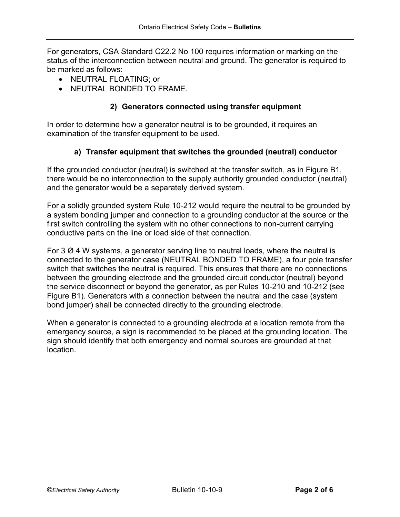For generators, CSA Standard C22.2 No 100 requires information or marking on the status of the interconnection between neutral and ground. The generator is required to be marked as follows:

- NEUTRAL FLOATING; or
- NEUTRAL BONDED TO FRAME.

### **2) Generators connected using transfer equipment**

In order to determine how a generator neutral is to be grounded, it requires an examination of the transfer equipment to be used.

### **a) Transfer equipment that switches the grounded (neutral) conductor**

If the grounded conductor (neutral) is switched at the transfer switch, as in Figure B1, there would be no interconnection to the supply authority grounded conductor (neutral) and the generator would be a separately derived system.

For a solidly grounded system Rule 10-212 would require the neutral to be grounded by a system bonding jumper and connection to a grounding conductor at the source or the first switch controlling the system with no other connections to non-current carrying conductive parts on the line or load side of that connection.

For 3  $\varnothing$  4 W systems, a generator serving line to neutral loads, where the neutral is connected to the generator case (NEUTRAL BONDED TO FRAME), a four pole transfer switch that switches the neutral is required. This ensures that there are no connections between the grounding electrode and the grounded circuit conductor (neutral) beyond the service disconnect or beyond the generator, as per Rules 10-210 and 10-212 (see Figure B1). Generators with a connection between the neutral and the case (system bond jumper) shall be connected directly to the grounding electrode.

When a generator is connected to a grounding electrode at a location remote from the emergency source, a sign is recommended to be placed at the grounding location. The sign should identify that both emergency and normal sources are grounded at that location.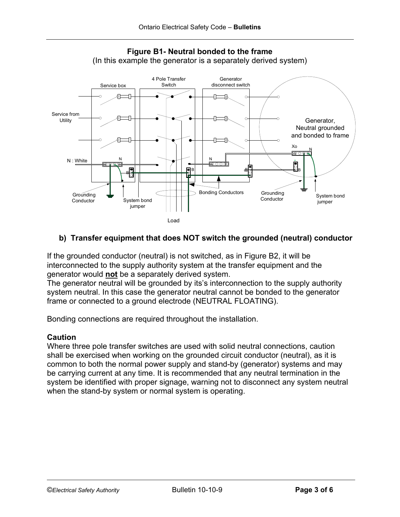

**Figure B1- Neutral bonded to the frame** (In this example the generator is a separately derived system)

## **b) Transfer equipment that does NOT switch the grounded (neutral) conductor**

If the grounded conductor (neutral) is not switched, as in Figure B2, it will be interconnected to the supply authority system at the transfer equipment and the generator would **not** be a separately derived system.

The generator neutral will be grounded by its's interconnection to the supply authority system neutral. In this case the generator neutral cannot be bonded to the generator frame or connected to a ground electrode (NEUTRAL FLOATING).

Bonding connections are required throughout the installation.

### **Caution**

Where three pole transfer switches are used with solid neutral connections, caution shall be exercised when working on the grounded circuit conductor (neutral), as it is common to both the normal power supply and stand-by (generator) systems and may be carrying current at any time. It is recommended that any neutral termination in the system be identified with proper signage, warning not to disconnect any system neutral when the stand-by system or normal system is operating.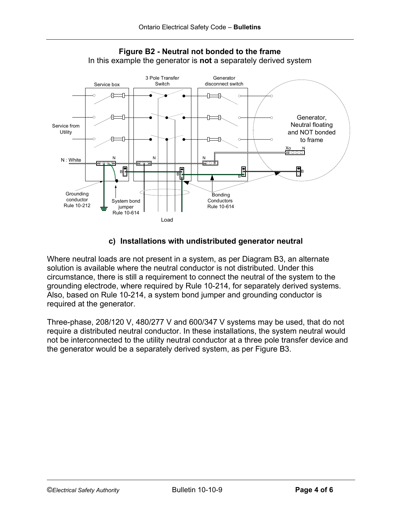



## **c) Installations with undistributed generator neutral**

Where neutral loads are not present in a system, as per Diagram B3, an alternate solution is available where the neutral conductor is not distributed. Under this circumstance, there is still a requirement to connect the neutral of the system to the grounding electrode, where required by Rule 10-214, for separately derived systems. Also, based on Rule 10-214, a system bond jumper and grounding conductor is required at the generator.

Three-phase, 208/120 V, 480/277 V and 600/347 V systems may be used, that do not require a distributed neutral conductor. In these installations, the system neutral would not be interconnected to the utility neutral conductor at a three pole transfer device and the generator would be a separately derived system, as per Figure B3.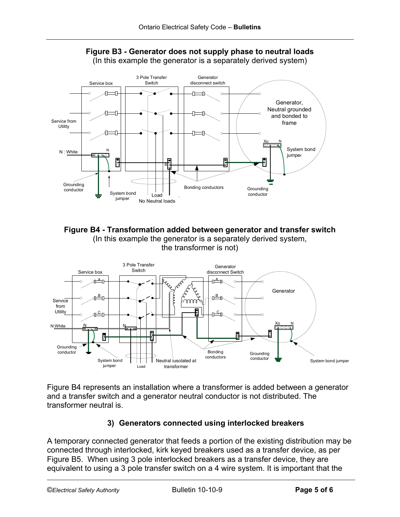



**Figure B4 - Transformation added between generator and transfer switch** (In this example the generator is a separately derived system, the transformer is not)



Figure B4 represents an installation where a transformer is added between a generator and a transfer switch and a generator neutral conductor is not distributed. The transformer neutral is.

# **3) Generators connected using interlocked breakers**

A temporary connected generator that feeds a portion of the existing distribution may be connected through interlocked, kirk keyed breakers used as a transfer device, as per Figure B5. When using 3 pole interlocked breakers as a transfer device, they are equivalent to using a 3 pole transfer switch on a 4 wire system. It is important that the